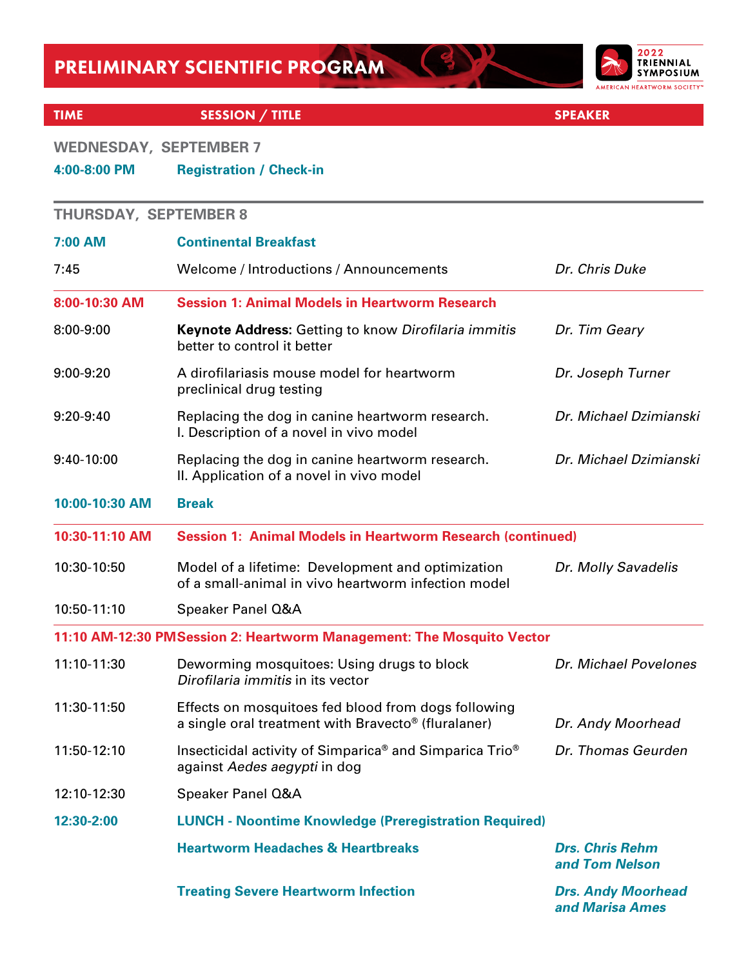

 $\left( \begin{array}{c} 3 \end{array} \right)$ 

#### TIME SESSION / TITLE SESSION / TITLE SPEAKER

### **WEDNESDAY, SEPTEMBER 7**

### **4:00-8:00 PM Registration / Check-in**

| <b>THURSDAY, SEPTEMBER 8</b> |                                                                                                            |                                              |  |
|------------------------------|------------------------------------------------------------------------------------------------------------|----------------------------------------------|--|
| 7:00 AM                      | <b>Continental Breakfast</b>                                                                               |                                              |  |
| 7:45                         | Welcome / Introductions / Announcements                                                                    | Dr. Chris Duke                               |  |
| 8:00-10:30 AM                | <b>Session 1: Animal Models in Heartworm Research</b>                                                      |                                              |  |
| 8:00-9:00                    | <b>Keynote Address:</b> Getting to know Dirofilaria immitis<br>better to control it better                 | Dr. Tim Geary                                |  |
| 9:00-9:20                    | A dirofilariasis mouse model for heartworm<br>preclinical drug testing                                     | Dr. Joseph Turner                            |  |
| $9:20-9:40$                  | Replacing the dog in canine heartworm research.<br>I. Description of a novel in vivo model                 | Dr. Michael Dzimianski                       |  |
| 9:40-10:00                   | Replacing the dog in canine heartworm research.<br>II. Application of a novel in vivo model                | Dr. Michael Dzimianski                       |  |
| 10:00-10:30 AM               | <b>Break</b>                                                                                               |                                              |  |
| 10:30-11:10 AM               | <b>Session 1: Animal Models in Heartworm Research (continued)</b>                                          |                                              |  |
| 10:30-10:50                  | Model of a lifetime: Development and optimization<br>of a small-animal in vivo heartworm infection model   | Dr. Molly Savadelis                          |  |
| 10:50-11:10                  | Speaker Panel Q&A                                                                                          |                                              |  |
|                              | 11:10 AM-12:30 PMSession 2: Heartworm Management: The Mosquito Vector                                      |                                              |  |
| 11:10-11:30                  | Deworming mosquitoes: Using drugs to block<br>Dirofilaria immitis in its vector                            | Dr. Michael Povelones                        |  |
| 11:30-11:50                  | Effects on mosquitoes fed blood from dogs following<br>a single oral treatment with Bravecto® (fluralaner) | Dr. Andy Moorhead                            |  |
| 11:50-12:10                  | Insecticidal activity of Simparica® and Simparica Trio®<br>against Aedes aegypti in dog                    | Dr. Thomas Geurden                           |  |
| 12:10-12:30                  | Speaker Panel Q&A                                                                                          |                                              |  |
| 12:30-2:00                   | <b>LUNCH - Noontime Knowledge (Preregistration Required)</b>                                               |                                              |  |
|                              | <b>Heartworm Headaches &amp; Heartbreaks</b>                                                               | <b>Drs. Chris Rehm</b><br>and Tom Nelson     |  |
|                              | <b>Treating Severe Heartworm Infection</b>                                                                 | <b>Drs. Andy Moorhead</b><br>and Marisa Ames |  |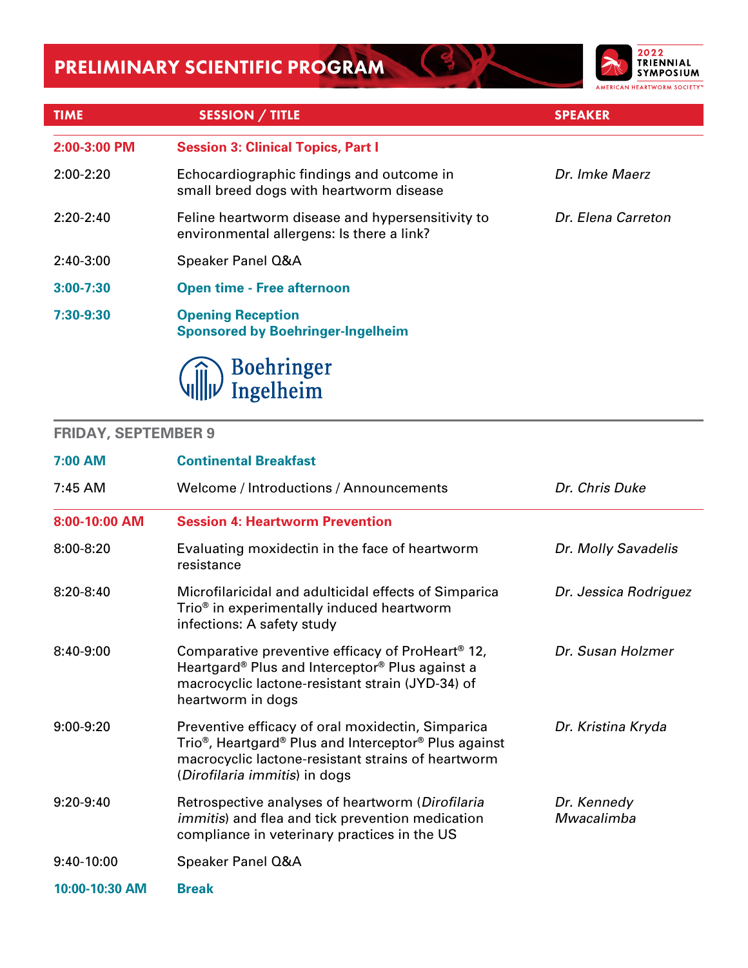

| <b>TIME</b>   | <b>SESSION / TITLE</b>                                                                        | <b>SPEAKER</b>     |
|---------------|-----------------------------------------------------------------------------------------------|--------------------|
| 2:00-3:00 PM  | <b>Session 3: Clinical Topics, Part I</b>                                                     |                    |
| $2:00-2:20$   | Echocardiographic findings and outcome in<br>small breed dogs with heartworm disease          | Dr. Imke Maerz     |
| $2:20-2:40$   | Feline heartworm disease and hypersensitivity to<br>environmental allergens: Is there a link? | Dr. Elena Carreton |
| $2:40-3:00$   | Speaker Panel Q&A                                                                             |                    |
| $3:00 - 7:30$ | <b>Open time - Free afternoon</b>                                                             |                    |
| 7:30-9:30     | <b>Opening Reception</b><br><b>Sponsored by Boehringer-Ingelheim</b>                          |                    |
|               | Boehringer<br>Ingelheim                                                                       |                    |

### **FRIDAY, SEPTEMBER 9**

ı

| 7:00 AM        | <b>Continental Breakfast</b>                                                                                                                                                                                                          |                           |  |
|----------------|---------------------------------------------------------------------------------------------------------------------------------------------------------------------------------------------------------------------------------------|---------------------------|--|
| 7:45 AM        | Welcome / Introductions / Announcements                                                                                                                                                                                               | Dr. Chris Duke            |  |
| 8:00-10:00 AM  | <b>Session 4: Heartworm Prevention</b>                                                                                                                                                                                                |                           |  |
| 8:00-8:20      | Evaluating moxidectin in the face of heartworm<br>resistance                                                                                                                                                                          | Dr. Molly Savadelis       |  |
| $8:20-8:40$    | Microfilaricidal and adulticidal effects of Simparica<br>Trio <sup>®</sup> in experimentally induced heartworm<br>infections: A safety study                                                                                          | Dr. Jessica Rodriguez     |  |
| 8:40-9:00      | Comparative preventive efficacy of ProHeart <sup>®</sup> 12,<br>Heartgard® Plus and Interceptor® Plus against a<br>macrocyclic lactone-resistant strain (JYD-34) of<br>heartworm in dogs                                              | Dr. Susan Holzmer         |  |
| $9:00-9:20$    | Preventive efficacy of oral moxidectin, Simparica<br>Trio <sup>®</sup> , Heartgard <sup>®</sup> Plus and Interceptor <sup>®</sup> Plus against<br>macrocyclic lactone-resistant strains of heartworm<br>(Dirofilaria immitis) in dogs | Dr. Kristina Kryda        |  |
| 9:20-9:40      | Retrospective analyses of heartworm (Dirofilaria<br><i>immitis</i> ) and flea and tick prevention medication<br>compliance in veterinary practices in the US                                                                          | Dr. Kennedy<br>Mwacalimba |  |
| 9:40-10:00     | Speaker Panel Q&A                                                                                                                                                                                                                     |                           |  |
| 10:00-10:30 AM | <b>Break</b>                                                                                                                                                                                                                          |                           |  |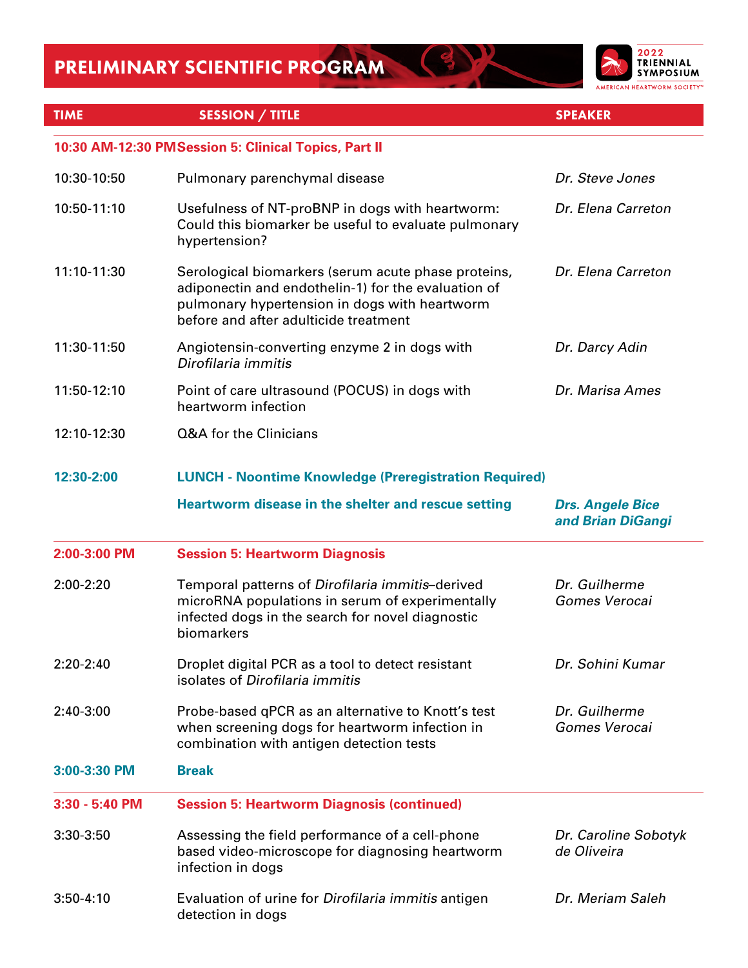

BK

| <b>TIME</b>    | <b>SESSION / TITLE</b>                                                                                                                                                                               | <b>SPEAKER</b>                               |
|----------------|------------------------------------------------------------------------------------------------------------------------------------------------------------------------------------------------------|----------------------------------------------|
|                |                                                                                                                                                                                                      |                                              |
|                | 10:30 AM-12:30 PMSession 5: Clinical Topics, Part II                                                                                                                                                 |                                              |
| 10:30-10:50    | Pulmonary parenchymal disease                                                                                                                                                                        | Dr. Steve Jones                              |
| 10:50-11:10    | Usefulness of NT-proBNP in dogs with heartworm:<br>Could this biomarker be useful to evaluate pulmonary<br>hypertension?                                                                             | Dr. Elena Carreton                           |
| 11:10-11:30    | Serological biomarkers (serum acute phase proteins,<br>adiponectin and endothelin-1) for the evaluation of<br>pulmonary hypertension in dogs with heartworm<br>before and after adulticide treatment | Dr. Elena Carreton                           |
| 11:30-11:50    | Angiotensin-converting enzyme 2 in dogs with<br>Dirofilaria immitis                                                                                                                                  | Dr. Darcy Adin                               |
| 11:50-12:10    | Point of care ultrasound (POCUS) in dogs with<br>heartworm infection                                                                                                                                 | Dr. Marisa Ames                              |
| 12:10-12:30    | Q&A for the Clinicians                                                                                                                                                                               |                                              |
| 12:30-2:00     | <b>LUNCH - Noontime Knowledge (Preregistration Required)</b>                                                                                                                                         |                                              |
|                | Heartworm disease in the shelter and rescue setting                                                                                                                                                  | <b>Drs. Angele Bice</b><br>and Brian DiGangi |
| 2:00-3:00 PM   | <b>Session 5: Heartworm Diagnosis</b>                                                                                                                                                                |                                              |
| 2:00-2:20      | Temporal patterns of Dirofilaria immitis-derived<br>microRNA populations in serum of experimentally<br>infected dogs in the search for novel diagnostic<br>biomarkers                                | Dr. Guilherme<br>Gomes Verocai               |
| 2:20-2:40      | Droplet digital PCR as a tool to detect resistant<br>isolates of Dirofilaria immitis                                                                                                                 | Dr. Sohini Kumar                             |
| 2:40-3:00      | Probe-based qPCR as an alternative to Knott's test<br>when screening dogs for heartworm infection in<br>combination with antigen detection tests                                                     | Dr. Guilherme<br>Gomes Verocai               |
| 3:00-3:30 PM   | <b>Break</b>                                                                                                                                                                                         |                                              |
| 3:30 - 5:40 PM | <b>Session 5: Heartworm Diagnosis (continued)</b>                                                                                                                                                    |                                              |
| 3:30-3:50      | Assessing the field performance of a cell-phone<br>based video-microscope for diagnosing heartworm<br>infection in dogs                                                                              | Dr. Caroline Sobotyk<br>de Oliveira          |
| $3:50-4:10$    | Evaluation of urine for Dirofilaria immitis antigen<br>detection in dogs                                                                                                                             | Dr. Meriam Saleh                             |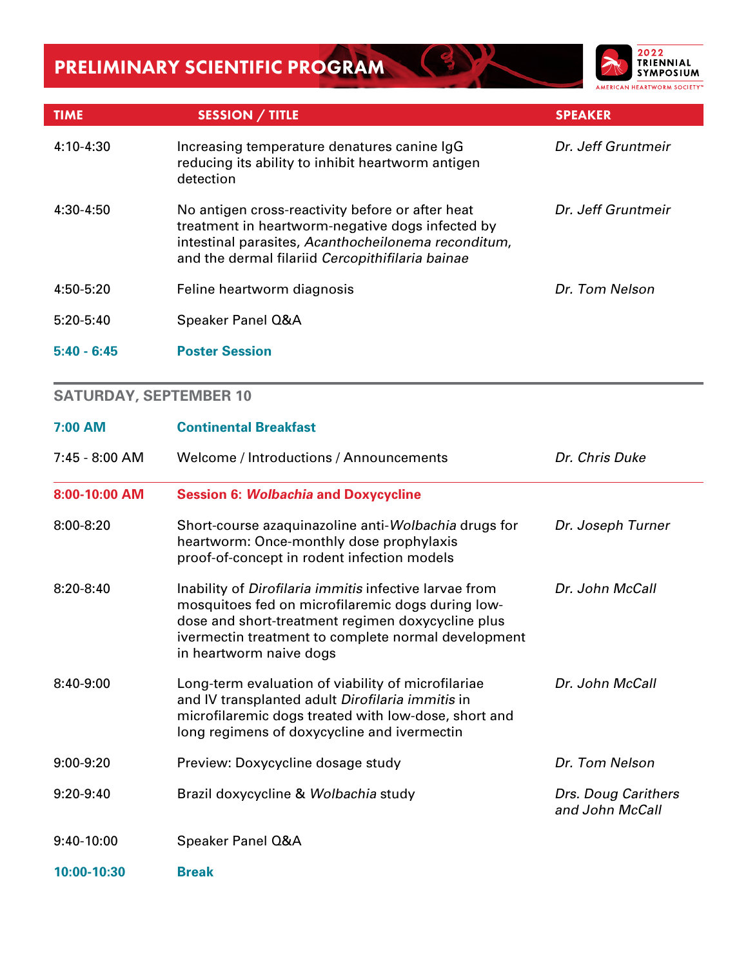

| <b>TIME</b>   | <b>SESSION / TITLE</b>                                                                                                                                                                                          | <b>SPEAKER</b>     |
|---------------|-----------------------------------------------------------------------------------------------------------------------------------------------------------------------------------------------------------------|--------------------|
| 4:10-4:30     | Increasing temperature denatures canine IgG<br>reducing its ability to inhibit heartworm antigen<br>detection                                                                                                   | Dr. Jeff Gruntmeir |
| $4:30-4:50$   | No antigen cross-reactivity before or after heat<br>treatment in heartworm-negative dogs infected by<br>intestinal parasites, Acanthocheilonema reconditum,<br>and the dermal filariid Cercopithifilaria bainae | Dr. Jeff Gruntmeir |
| 4:50-5:20     | Feline heartworm diagnosis                                                                                                                                                                                      | Dr. Tom Nelson     |
| $5:20-5:40$   | Speaker Panel Q&A                                                                                                                                                                                               |                    |
| $5:40 - 6:45$ | <b>Poster Session</b>                                                                                                                                                                                           |                    |

### **SATURDAY, SEPTEMBER 10**

| 7:00 AM        | <b>Continental Breakfast</b>                                                                                                                                                                                                                       |                                        |  |
|----------------|----------------------------------------------------------------------------------------------------------------------------------------------------------------------------------------------------------------------------------------------------|----------------------------------------|--|
| 7:45 - 8:00 AM | Welcome / Introductions / Announcements                                                                                                                                                                                                            | Dr. Chris Duke                         |  |
| 8:00-10:00 AM  | <b>Session 6: Wolbachia and Doxycycline</b>                                                                                                                                                                                                        |                                        |  |
| 8:00-8:20      | Short-course azaquinazoline anti-Wolbachia drugs for<br>heartworm: Once-monthly dose prophylaxis<br>proof-of-concept in rodent infection models                                                                                                    | Dr. Joseph Turner                      |  |
| $8:20-8:40$    | Inability of Dirofilaria immitis infective larvae from<br>mosquitoes fed on microfilaremic dogs during low-<br>dose and short-treatment regimen doxycycline plus<br>ivermectin treatment to complete normal development<br>in heartworm naive dogs | Dr. John McCall                        |  |
| 8:40-9:00      | Long-term evaluation of viability of microfilariae<br>and IV transplanted adult Dirofilaria immitis in<br>microfilaremic dogs treated with low-dose, short and<br>long regimens of doxycycline and ivermectin                                      | Dr. John McCall                        |  |
| $9:00-9:20$    | Preview: Doxycycline dosage study                                                                                                                                                                                                                  | Dr. Tom Nelson                         |  |
| $9:20-9:40$    | Brazil doxycycline & Wolbachia study                                                                                                                                                                                                               | Drs. Doug Carithers<br>and John McCall |  |
| 9:40-10:00     | Speaker Panel Q&A                                                                                                                                                                                                                                  |                                        |  |
| 10:00-10:30    | <b>Break</b>                                                                                                                                                                                                                                       |                                        |  |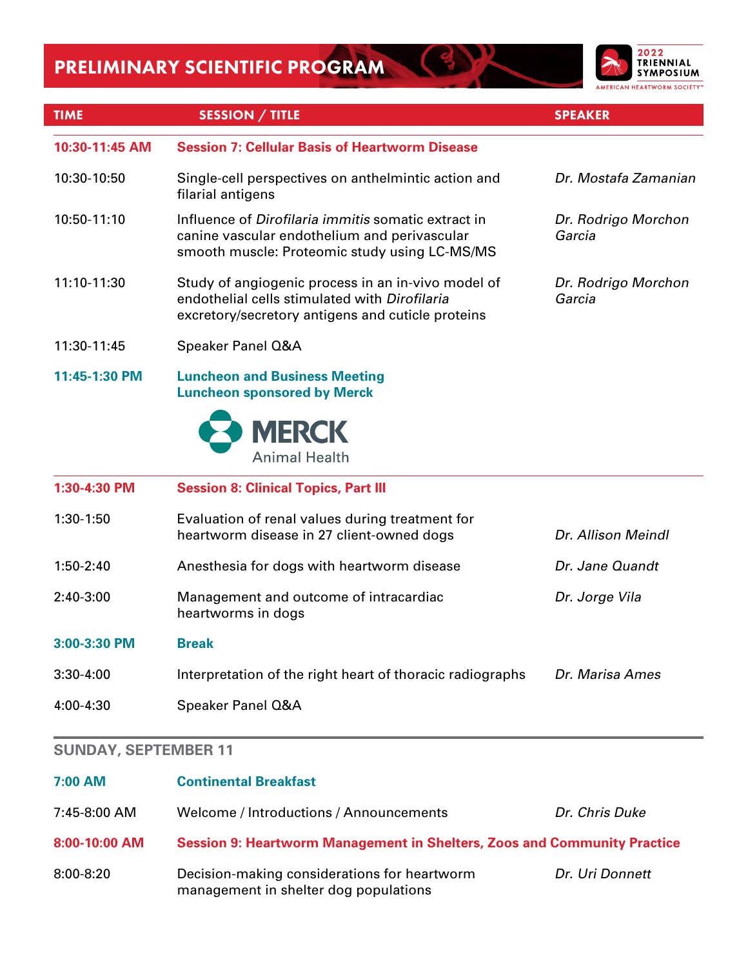

| <b>TIME</b>    | <b>SESSION / TITLE</b>                                                                                                                                   | <b>SPEAKER</b>                |
|----------------|----------------------------------------------------------------------------------------------------------------------------------------------------------|-------------------------------|
| 10:30-11:45 AM | <b>Session 7: Cellular Basis of Heartworm Disease</b>                                                                                                    |                               |
| 10:30-10:50    | Single-cell perspectives on anthelmintic action and<br>filarial antigens                                                                                 | Dr. Mostafa Zamanian          |
| 10:50-11:10    | Influence of Dirofilaria immitis somatic extract in<br>canine vascular endothelium and perivascular<br>smooth muscle: Proteomic study using LC-MS/MS     | Dr. Rodrigo Morchon<br>Garcia |
| 11:10-11:30    | Study of angiogenic process in an in-vivo model of<br>endothelial cells stimulated with Dirofilaria<br>excretory/secretory antigens and cuticle proteins | Dr. Rodrigo Morchon<br>Garcia |
| 11:30-11:45    | Speaker Panel Q&A                                                                                                                                        |                               |
| 11:45-1:30 PM  | <b>Luncheon and Business Meeting</b><br><b>Luncheon sponsored by Merck</b>                                                                               |                               |
|                | <b>MERCK</b><br><b>Animal Health</b>                                                                                                                     |                               |
| 1:30-4:30 PM   | <b>Session 8: Clinical Topics, Part III</b>                                                                                                              |                               |
| 1:30-1:50      | Evaluation of renal values during treatment for<br>heartworm disease in 27 client-owned dogs                                                             | Dr. Allison Meindl            |
| 1:50-2:40      | Anesthesia for dogs with heartworm disease                                                                                                               | Dr. Jane Quandt               |
| 2:40-3:00      | Management and outcome of intracardiac<br>heartworms in dogs                                                                                             | Dr. Jorge Vila                |
| 3:00-3:30 PM   | <b>Break</b>                                                                                                                                             |                               |
| 3:30-4:00      | Interpretation of the right heart of thoracic radiographs                                                                                                | Dr. Marisa Ames               |
| 4:00-4:30      | Speaker Panel Q&A                                                                                                                                        |                               |
|                |                                                                                                                                                          |                               |

#### **SUNDAY, SEPTEMBER 11**

| 7:00 AM       | <b>Continental Breakfast</b>                                             |                 |
|---------------|--------------------------------------------------------------------------|-----------------|
| 7:45-8:00 AM  | Welcome / Introductions / Announcements                                  | Dr. Chris Duke  |
| 8:00-10:00 AM | Session 9: Heartworm Management in Shelters, Zoos and Community Practice |                 |
| $8:00 - 8:20$ | Decision-making considerations for heartworm                             | Dr. Uri Donnett |